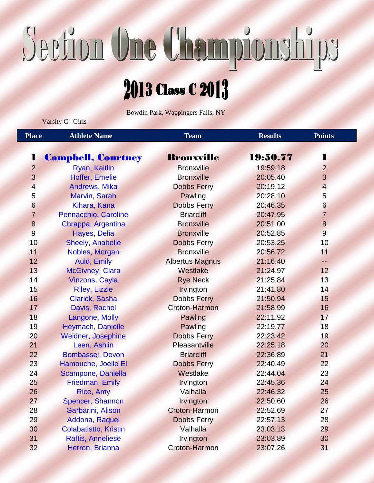# Section One Championships

### 2013 Class C 2013

Bowdin Park, Wappingers Falls, NY

Varsity C Girls

| <b>Place</b>     | <b>Athlete Name</b>          | <b>Team</b>            | <b>Results</b> |                 |
|------------------|------------------------------|------------------------|----------------|-----------------|
|                  |                              |                        |                |                 |
| 1                | <b>Campbell, Courtney</b>    | <b>Bronxville</b>      | 19:50.77       | 1               |
| $\overline{2}$   | Ryan, Kaitlin                | <b>Bronxville</b>      | 19:59.18       | $\overline{2}$  |
| 3                | Hoffer, Emelie               | <b>Bronxville</b>      | 20:05.40       | 3               |
| $\overline{4}$   | Andrews, Mika                | <b>Dobbs Ferry</b>     | 20:19.12       | $\overline{4}$  |
| $\sqrt{5}$       | Marvin, Sarah                | Pawling                | 20:28.10       | 5               |
| 6                | Kihara, Kana                 | <b>Dobbs Ferry</b>     | 20:46.35       | 6               |
| $\overline{7}$   | Pennacchio, Caroline         | <b>Briarcliff</b>      | 20:47.95       | $\overline{7}$  |
| $\boldsymbol{8}$ | Chrappa, Argentina           | <b>Bronxville</b>      | 20:51.00       | $\bf 8$         |
| $\overline{9}$   | Hayes, Delia                 | <b>Bronxville</b>      | 20:52.85       | 9               |
| 10               | <b>Sheely, Anabelle</b>      | <b>Dobbs Ferry</b>     | 20:53.25       | 10              |
| 11               | Nobles, Morgan               | <b>Bronxville</b>      | 20:56.72       | 11              |
| 12               | Auld, Emily                  | <b>Albertus Magnus</b> | 21:16.40       | 44              |
| 13               | <b>McGivney, Ciara</b>       | Westlake               | 21:24.97       | 12 <sub>2</sub> |
| 14               | <b>Vinzons, Cayla</b>        | <b>Rye Neck</b>        | 21:25.84       | 13              |
| 15               | <b>Riley, Lizzie</b>         | Irvington              | 21:41.80       | 14              |
| 16               | Clarick, Sasha               | <b>Dobbs Ferry</b>     | 21:50.94       | 15              |
| 17               | Davis, Rachel                | Croton-Harmon          | 21:58.99       | 16              |
| 18               | Langone, Molly               | Pawling                | 22:11.92       | 17              |
| 19               | Heymach, Danielle            | Pawling                | 22:19.77       | 18              |
| 20               | <b>Weidner, Josephine</b>    | <b>Dobbs Ferry</b>     | 22:23.42       | 19              |
| 21               | Leen, Ashlin                 | Pleasantville          | 22:25.18       | 20              |
| 22               | Bombassei, Devon             | <b>Briarcliff</b>      | 22:36.89       | 21              |
| 23               | Hamouche, Joelle El          | <b>Dobbs Ferry</b>     | 22:40.49       | 22              |
| 24               | Scampone, Daniella           | Westlake               | 22:44.04       | 23              |
| 25               | Friedman, Emily              | Irvington              | 22:45.36       | 24              |
| 26               | Rice, Amy                    | Valhalla               | 22:46.32       | 25              |
| 27               | Spencer, Shannon             | Irvington              | 22:50.60       | 26              |
| 28               | Garbarini, Alison            | <b>Croton-Harmon</b>   | 22:52.69       | 27              |
| 29               | Addona, Raquel               | <b>Dobbs Ferry</b>     | 22:57.13       | 28              |
| 30               | <b>Colabatistto, Kristin</b> | Valhalla               | 23:03.13       | 29              |
| 31               | <b>Raftis, Anneliese</b>     | Irvington              | 23:03.89       | 30              |
| 32               | Herron, Brianna              | Croton-Harmon          | 23:07.26       | 31              |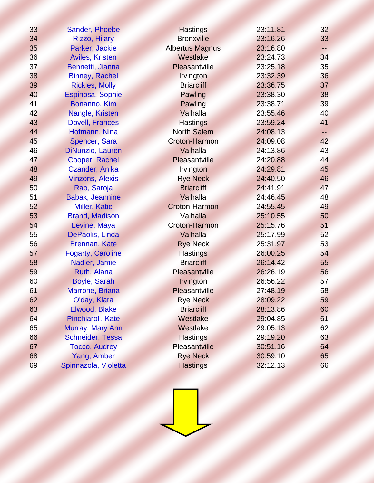| 33 | Sander, Phoebe           | <b>Hastings</b>        | 23:11.81 | 32 |
|----|--------------------------|------------------------|----------|----|
| 34 | <b>Rizzo, Hilary</b>     | <b>Bronxville</b>      | 23:16.26 | 33 |
| 35 | Parker, Jackie           | <b>Albertus Magnus</b> | 23:16.80 | -- |
| 36 | <b>Aviles, Kristen</b>   | Westlake               | 23:24.73 | 34 |
| 37 | Bennetti, Jianna         | Pleasantville          | 23:25.18 | 35 |
| 38 | <b>Binney, Rachel</b>    | Irvington              | 23:32.39 | 36 |
| 39 | <b>Rickles, Molly</b>    | <b>Briarcliff</b>      | 23:36.75 | 37 |
| 40 | Espinosa, Sophie         | Pawling                | 23:38.30 | 38 |
| 41 | Bonanno, Kim             | Pawling                | 23:38.71 | 39 |
| 42 | Nangle, Kristen          | Valhalla               | 23:55.46 | 40 |
| 43 | <b>Dovell, Frances</b>   | <b>Hastings</b>        | 23:59.24 | 41 |
| 44 | Hofmann, Nina            | <b>North Salem</b>     | 24:08.13 |    |
| 45 | Spencer, Sara            | Croton-Harmon          | 24:09.08 | 42 |
| 46 | DiNunzio, Lauren         | Valhalla               | 24:13.86 | 43 |
| 47 | Cooper, Rachel           | Pleasantville          | 24:20.88 | 44 |
| 48 | Czander, Anika           | Irvington              | 24:29.81 | 45 |
| 49 | <b>Vinzons, Alexis</b>   | <b>Rye Neck</b>        | 24:40.50 | 46 |
| 50 | Rao, Saroja              | <b>Briarcliff</b>      | 24:41.91 | 47 |
| 51 | <b>Babak, Jeannine</b>   | Valhalla               | 24:46.45 | 48 |
| 52 | <b>Miller, Katie</b>     | <b>Croton-Harmon</b>   | 24:55.45 | 49 |
| 53 | <b>Brand, Madison</b>    | Valhalla               | 25:10.55 | 50 |
| 54 | Levine, Maya             | <b>Croton-Harmon</b>   | 25:15.76 | 51 |
| 55 | DePaolis, Linda          | Valhalla               | 25:17.99 | 52 |
| 56 | <b>Brennan, Kate</b>     | <b>Rye Neck</b>        | 25:31.97 | 53 |
| 57 | <b>Fogarty, Caroline</b> | <b>Hastings</b>        | 26:00.25 | 54 |
| 58 | Nadler, Jamie            | <b>Briarcliff</b>      | 26:14.42 | 55 |
| 59 | Ruth, Alana              | Pleasantville          | 26:26.19 | 56 |
| 60 | Boyle, Sarah             | Irvington              | 26:56.22 | 57 |
| 61 | Marrone, Briana          | Pleasantville          | 27:48.19 | 58 |
| 62 | O'day, Kiara             | <b>Rye Neck</b>        | 28:09.22 | 59 |
| 63 | Elwood, Blake            | <b>Briarcliff</b>      | 28:13.86 | 60 |
| 64 | Pinchiaroli, Kate        | Westlake               | 29:04.85 | 61 |
| 65 | Murray, Mary Ann         | Westlake               | 29:05.13 | 62 |
| 66 | Schneider, Tessa         | <b>Hastings</b>        | 29:19.20 | 63 |
| 67 | <b>Tocco, Audrey</b>     | Pleasantville          | 30:51.16 | 64 |
| 68 | Yang, Amber              | <b>Rye Neck</b>        | 30:59.10 | 65 |
| 69 | Spinnazola, Violetta     | <b>Hastings</b>        | 32:12.13 | 66 |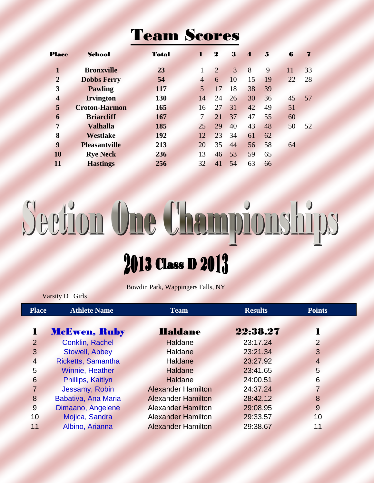#### Team Scores

| <b>Place</b>            | School               | <b>Total</b> | Ľ  | $\boldsymbol{2}$ | 3  | $\boldsymbol{\Lambda}$ | $\mathbf{5}$ | 6  | 7  |
|-------------------------|----------------------|--------------|----|------------------|----|------------------------|--------------|----|----|
| $\mathbf{1}$            | <b>Bronxville</b>    | 23           |    | $\overline{2}$   | 3  | 8                      | 9            | 11 | 33 |
| $\overline{2}$          | <b>Dobbs Ferry</b>   | 54           | 4  | 6                | 10 | 15                     | 19           | 22 | 28 |
| 3                       | <b>Pawling</b>       | 117          | 5  | 17               | 18 | 38                     | 39           |    |    |
| $\overline{\mathbf{4}}$ | <b>Irvington</b>     | 130          | 14 | 24               | 26 | 30                     | 36           | 45 | 57 |
| 5                       | <b>Croton-Harmon</b> | 165          | 16 | 27               | 31 | 42                     | 49           | 51 |    |
| 6                       | <b>Briarcliff</b>    | 167          | 7  | 21               | 37 | 47                     | 55           | 60 |    |
| $\overline{7}$          | <b>Valhalla</b>      | 185          | 25 | 29               | 40 | 43                     | 48           | 50 | 52 |
| 8                       | <b>Westlake</b>      | 192          | 12 | 23               | 34 | 61                     | 62           |    |    |
| 9                       | <b>Pleasantville</b> | 213          | 20 | 35               | 44 | 56                     | 58           | 64 |    |
| 10                      | <b>Rye Neck</b>      | 236          | 13 | 46               | 53 | 59                     | 65           |    |    |
| 11                      | <b>Hastings</b>      | 256          | 32 | 41               | 54 | 63                     | 66           |    |    |

## Section One Championships 2013 Class D 2013

Bowdin Park, Wappingers Falls, NY

Varsity D Girls

| <b>Place</b>   | <b>Athlete Name</b>    | <b>Team</b>               | <b>Results</b> | <b>Points</b>   |  |
|----------------|------------------------|---------------------------|----------------|-----------------|--|
|                |                        |                           |                |                 |  |
|                | <b>McEwen, Ruby</b>    | <b>Haldane</b>            | 22:38.27       |                 |  |
| $\overline{2}$ | <b>Conklin, Rachel</b> | Haldane                   | 23:17.24       | $\overline{2}$  |  |
| 3              | <b>Stowell, Abbey</b>  | <b>Haldane</b>            | 23:21.34       | 3               |  |
| $\overline{4}$ | Ricketts, Samantha     | Haldane                   | 23:27.92       | 4               |  |
| 5              | <b>Winnie, Heather</b> | <b>Haldane</b>            | 23:41.65       | 5               |  |
| 6              | Phillips, Kaitlyn      | Haldane                   | 24:00.51       | $6\phantom{1}6$ |  |
| 7              | Jessamy, Robin         | <b>Alexander Hamilton</b> | 24:37.24       | 7               |  |
| 8              | Babativa, Ana Maria    | <b>Alexander Hamilton</b> | 28:42.12       | 8               |  |
| 9              | Dimaano, Angelene      | <b>Alexander Hamilton</b> | 29:08.95       | 9               |  |
| 10             | Mojica, Sandra         | <b>Alexander Hamilton</b> | 29:33.57       | 10              |  |
| 11             | Albino, Arianna        | <b>Alexander Hamilton</b> | 29:38.67       | 11              |  |